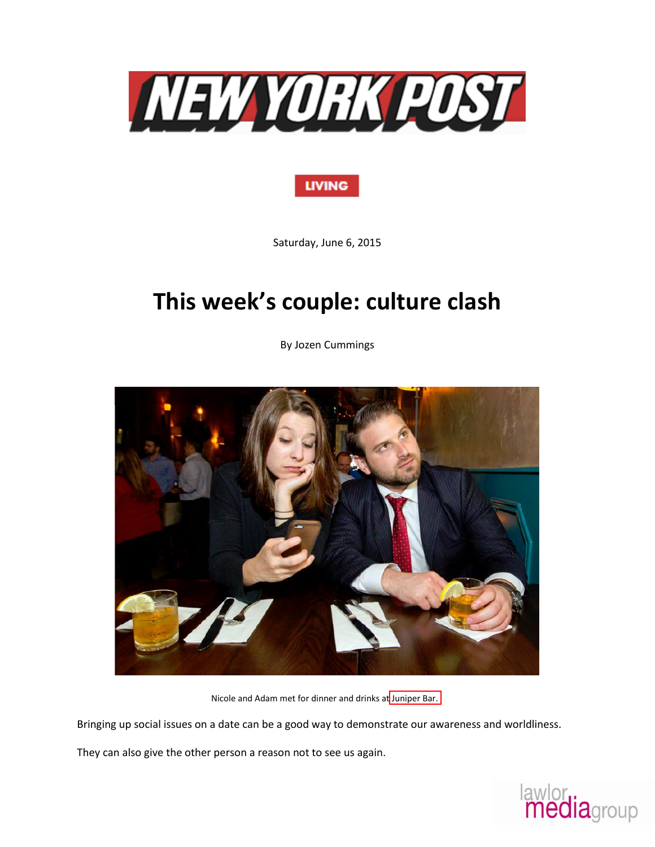

## **LIVING**

Saturday, June 6, 2015

## **This week's couple: culture clash**

By Jozen Cummings



Nicole and Adam met for dinner and drinks at Juniper Bar.

Bringing up social issues on a date can be a good way to demonstrate our awareness and worldliness.

They can also give the other person a reason not to see us again.